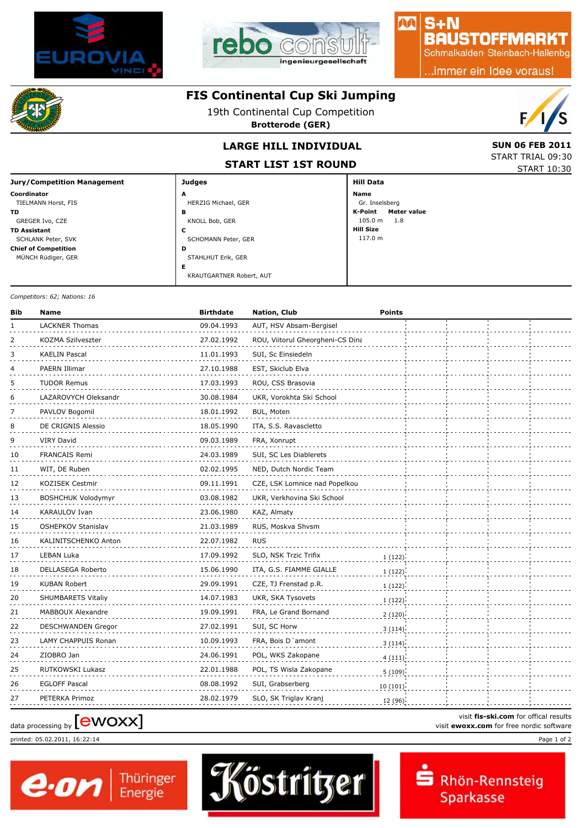



## $S + N$ **BAUSTOFFMARKT**

Schmalkalden Steinbach-Hallenbg

..immer ein Idee voraus!



**Coordinator** TIELMANN Horst, FIS **TD**

GREGER Ivo, CZE **TD Assistant** SCHLANK Peter, SVK **Chief of Competition** MÜNCH Rüdiger, GER

## **FIS Continental Cup Ski Jumping**

19th Continental Cup Competition

**Brotterode (GER)**



START TRIAL 09:30

# **LARGE HILL INDIVIDUAL** SUN 06 FEB 2011

**START LIST 1ST ROUND**

STAHLHUT Erik, GER **<sup>D</sup>**

KRAUTGARTNER Robert, AUT **<sup>E</sup>**

| SIANI LISI ISI NUUND |                        | START 10:30 |
|----------------------|------------------------|-------------|
| <b>Judges</b>        | <b>Hill Data</b>       |             |
| A                    | <b>Name</b>            |             |
| HERZIG Michael, GER  | Gr. Inselsberg         |             |
| в                    | Meter value<br>K-Point |             |
| KNOLL Bob, GER       | 105.0 m<br>1.8         |             |
| c                    | <b>Hill Size</b>       |             |
| SCHOMANN Peter, GER  | 117.0 m                |             |

M

*Competitors: 62; Nations: 16*

**Jury/Competition Management**

| Bib | <b>Name</b>               | <b>Birthdate</b> | Nation, Club                     | <b>Points</b> |  |  |
|-----|---------------------------|------------------|----------------------------------|---------------|--|--|
| 1   | <b>LACKNER Thomas</b>     | 09.04.1993       | AUT, HSV Absam-Bergisel          |               |  |  |
| 2   | KOZMA Szilveszter         | 27.02.1992       | ROU, Viitorul Gheorgheni-CS Dina |               |  |  |
| 3   | <b>KAELIN Pascal</b>      | 11.01.1993       | SUI, Sc Einsiedeln               |               |  |  |
| 4   | PAERN Illimar             | 27.10.1988       | EST, Skiclub Elva                |               |  |  |
| 5   | <b>TUDOR Remus</b>        | 17.03.1993       | ROU, CSS Brasovia                |               |  |  |
| 6   | LAZAROVYCH Oleksandr      | 30.08.1984       | UKR, Vorokhta Ski School         |               |  |  |
| 7   | PAVLOV Bogomil            | 18.01.1992       | BUL, Moten                       |               |  |  |
| 8   | DE CRIGNIS Alessio        | 18.05.1990       | ITA, S.S. Ravascletto            |               |  |  |
| 9   | <b>VIRY David</b>         | 09.03.1989       | FRA, Xonrupt                     |               |  |  |
| 10  | <b>FRANCAIS Remi</b>      | 24.03.1989       | SUI, SC Les Diablerets           |               |  |  |
| 11  | WIT, DE Ruben             | 02.02.1995       | NED, Dutch Nordic Team           |               |  |  |
| 12  | <b>KOZISEK Cestmir</b>    | 09.11.1991       | CZE, LSK Lomnice nad Popelkou    |               |  |  |
| 13  | <b>BOSHCHUK Volodymyr</b> | 03.08.1982       | UKR, Verkhovina Ski School       |               |  |  |
| 14  | KARAULOV Ivan             | 23.06.1980       | KAZ, Almaty                      |               |  |  |
| 15  | OSHEPKOV Stanislav        | 21.03.1989       | RUS, Moskva Shvsm                |               |  |  |
| 16  | KALINITSCHENKO Anton      | 22.07.1982       | <b>RUS</b>                       |               |  |  |
| 17  | LEBAN Luka                | 17.09.1992       | SLO, NSK Trzic Trifix            | 1(122)        |  |  |
| 18  | DELLASEGA Roberto         | 15.06.1990       | ITA, G.S. FIAMME GIALLE          | 1(122)        |  |  |
| 19  | <b>KUBAN Robert</b>       | 29.09.1991       | CZE, TJ Frenstad p.R.            | 1(122)        |  |  |
| 20  | SHUMBARETS Vitaliy        | 14.07.1983       | UKR, SKA Tysovets                | 1(122)        |  |  |
| 21  | MABBOUX Alexandre         | 19.09.1991       | FRA, Le Grand Bornand            | 2(120)        |  |  |
| 22  | DESCHWANDEN Gregor        | 27.02.1991       | SUI, SC Horw                     | 3(114)        |  |  |
| 23  | LAMY CHAPPUIS Ronan       | 10.09.1993       | FRA, Bois D'amont                | 3(114)        |  |  |
| 24  | ZIOBRO Jan                | 24.06.1991       | POL, WKS Zakopane                | 4(111)        |  |  |
| 25  | RUTKOWSKI Lukasz          | 22.01.1988       | POL, TS Wisla Zakopane           | 5(109)        |  |  |
| 26  | <b>EGLOFF Pascal</b>      | 08.08.1992       | SUI, Grabserberg                 | 10(101)       |  |  |
| 27  | PETERKA Primoz            | 28.02.1979       | SLO, SK Triglav Kranj            | 12 (96)       |  |  |

printed: 05.02.2011, 16:22:14 Page 1 of 2





visit **fis-ski.com** for offical results visit fis-ski.com for offical results<br>
visit **ewoxx.com** for free nordic software<br>
visit **ewoxx.com** for free nordic software